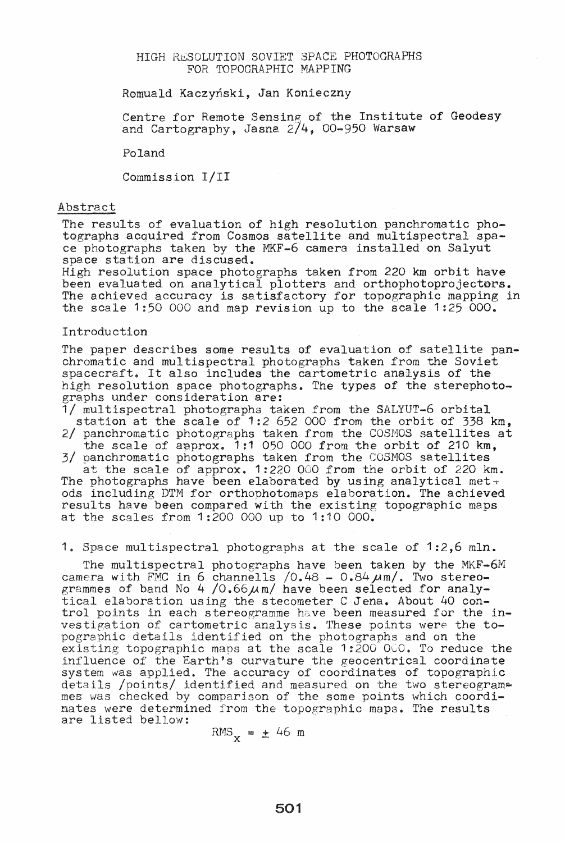## HIGH RESOLUTION SOVIET SPACE PHOTOGRAPHS FOR TOPOGRAPHIC MAPPING

Romuald Kaczynski, Jan Konieczny

Centre for Remote Sensing of the Institute of Geodesy and Cartography, Jasna  $2/4$ , 00-950 Warsaw

Poland

Commission 1/11

#### Abstract

The results of evaluation of high resolution panchromatic pho- tographs acquired from Cosmos satellite and multispectral space photographs taken by the MKF-6 camera installed on Salyut space station are discused.

High resolution space photographs taken from 220 km orbit have been evaluated on analytical plotters and orthophotoprojectors. The achieved accuracy is satisfactory for topographic mapping in the scale 1:50 000 and map revision up to the scale  $1:25$  000.

#### Introduction

The paper describes some results of evaluation of satellite panchromatic and multispectral photographs taken from the Soviet spacecraft. It also includes the cartometric analysis of the high resolution space photographs. The types of the sterephoto-<br>graphs under consideration are:

1/ multispectral photographs taken from the SALYUT-6 orbital station at the scale of 1:2 652 000 from the orbit of 338 km, 2/ panchromatic photographs taken from the COSMOS satellites at

the scale of approx.  $1:1$  050 000 from the orbit of 210 km. 3/ panchromatic photographs taken from the COSMOS satellites

at the scale of approx. 1:220 000 from the orbit of 220 km. The photographs have been elaborated by using analytical met $\div$ ods including DTM for orthophotomaps elaboration. The achieved results have been compared with the existing topographic maps at the scales from 1:200 000 up to 1:10 000.

1. Space multispectral photographs at the scale of 1:2,6 mln.

The multispectral photographs have been taken by the MKF-6M camera with FMC in  $6$  channells  $/0.48 - 0.84 \mu$ m/. Two stereogrammes of band No 4 /0.66 $\mu$ m/ have been selected for analytical elaboration using the stecometer C Jena. About 40 control points in each stereogramme have been measured for the investigation of cartometric analysis. These points were the topographic details identified on the photographs and on the existing topographic maps at the scale  $1:200000$ . To reduce the influence of the Earth's curvature the geocentrical coordinate system was applied. The accuracy of coordinates of topographic details /points/ identified and measured on the two stereogram mes was checked by comparison of the some points which coordimates were determined from the topographic maps. The results are listed bellow:

 $RMS_{\mathbf{y}} = \pm 46$  m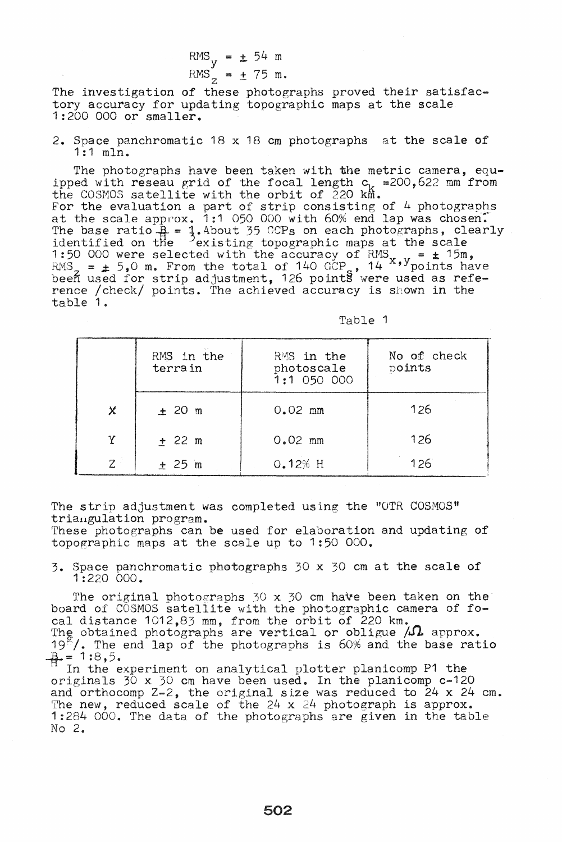RMS == ±. 54 m <sup>y</sup> R{vIS == ± 75 m. z

The investigation of these photographs proved their satisfactory accuracy for updating topographic maps at the scale 1:200 000 or smaller.

2. Space panchromatic 18 x 18 em photographs at the scale of 1:1 mIn.

The photographs have been taken with the metric camera, equipped with reseau grid of the focal length  $c_k = 200,622$  mm from the COSMOS satellite with the orbit of  $220$  km. For the evaluation a part of strip consisting of  $4$  photographs at the scale approx. 1:1 050 000 with 60% end lap was chosen. The base ratio  $\frac{1}{4}$  =  $\frac{1}{4}$ . About 35 GCPs on each photographs, clearly identified on the  $\frac{3}{2}$  existing topographic maps at the scale 1:50 000 were selected with the accuracy of RMS  $=$   $\pm$  15m,<br> $=$   $\pm$  15m,  $=$   $\pm$  15m,  $=$   $\pm$  15m,  $=$   $\pm$  15m,  $=$   $\pm$  15m,  $=$   $\pm$  15m,  $=$   $\pm$  15m,  $=$   $\pm$  15m,  $=$   $\pm$  15m,  $=$   $\pm$  15m,  $=$   $\pm$  15m,  $=$  RMS<sub>2</sub> =  $\pm$  5,0 m. From the total of 140 GCP<sub>3</sub>, 14<sup>x</sup>, y<sub>points</sub> have been used for strip adjustment, 126 points were used as reference / check/ points. The achieved accuracy is shown in the table 1.

| Table |  |  |  |  |
|-------|--|--|--|--|
|-------|--|--|--|--|

|       | RMS in the<br>terra in | RMS in the<br>photoscale<br>$1:1$ 050 000 | No of check<br>points |  |  |
|-------|------------------------|-------------------------------------------|-----------------------|--|--|
| Χ     | ± 20 m                 | $0.02$ mm                                 | 126                   |  |  |
| Υ     | $+ 22 m$               | $0.02$ mm                                 | 126                   |  |  |
| $7 -$ | ± 25 m                 | 0.12% H                                   | 126                   |  |  |

The strip adjustment was completed using the "OTR COSMOS"

triangulation program.<br>These photographs can be used for elaboration and updating of topographic maps at the scale up to 1:50 000.

3. Space panchromatic photographs 30 x 30 em at the scale of 1:220 000.

The original photographs  $30 \times 30$  cm have been taken on the board of COSMOS satellite with the photographic camera of focal distance 1012,83 mm, from the orbit of 220 km. The obtained photographs are vertical or obligue  $/\Omega$  approx. 19. The end lap of the photographs is 60% and the base ratio  $B = 1:8,5$ .

In the experiment on analytical plotter planicomp P1 the  $11$  In the experiment on analytical plotter planicomp P1 the originals  $30 \times 30$  cm have been used. In the planicomp c-120 and orthocomp  $Z - 2$ , the original size was reduced to  $24 \times 24$  cm.<br>The new, reduced scale of the  $24 \times 24$  photograph is approx. The new, reduced scale of the  $24 \times 24$  photograph is approx.<br>1:284 000. The data of the photographs are given in the table No  $2.$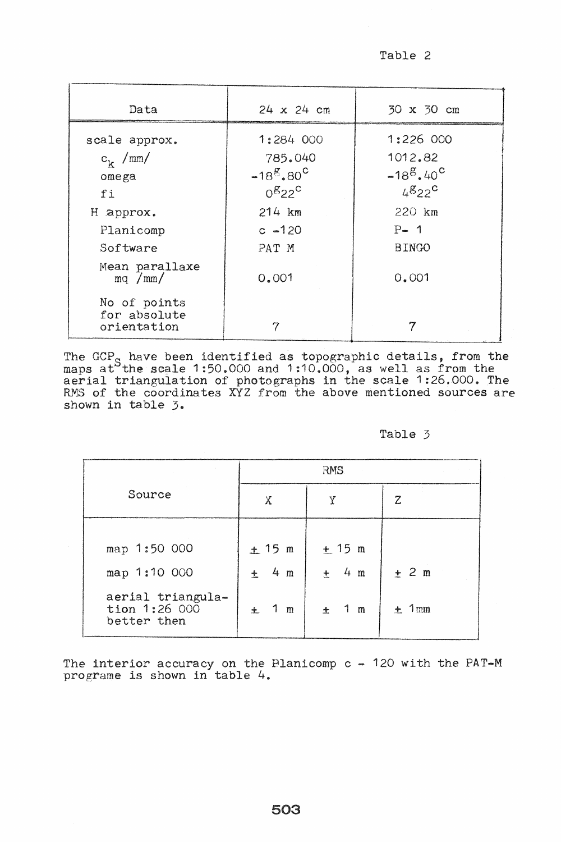Table 2

| Data                                                    | $24 \times 24$ cm                                                                                   | 30 x 30 cm                                                            |
|---------------------------------------------------------|-----------------------------------------------------------------------------------------------------|-----------------------------------------------------------------------|
| scale approx.<br>$c_k$ /mm/<br>omega<br>fi<br>H approx. | 1:284000<br>785.040<br>$-18^{g}$ . 80 <sup>c</sup><br>0 <sup>g</sup> 22 <sup>c</sup><br>$214 \; km$ | 1:226 000<br>1012.82<br>$-18^{g}$ , 40 <sup>c</sup><br>4822<br>220 km |
| Planicomp<br>Software                                   | $c - 120$<br>PAT M                                                                                  | $P-1$<br><b>BINGO</b>                                                 |
| Mean parallaxe<br>mq /mm/<br>No of points               | 0.001                                                                                               | 0.001                                                                 |
| for absolute<br>orientation                             | 7                                                                                                   | 7                                                                     |

The GCP<sub>S</sub> have been identified as topographic details, from the maps at the scale 1:50.000 and 1:10.000, as well as from the maps at the state 1.50.000 and 1.10.000, as well as from the scale 1.26.000. The RMS of the coordinates XYZ from the above mentioned sources are shown in table 3.

Table 3

|                                                   | RMS                              |                               |          |  |
|---------------------------------------------------|----------------------------------|-------------------------------|----------|--|
| Source                                            | Χ                                | Y                             | Z        |  |
| map 1:50 000<br>map 1:10 000                      | ± 15 m<br>$4 \text{ m}$<br>$\pm$ | $\pm$ 15 m<br>$\pm$ 4 m       | ± 2 m    |  |
| aerial triangula-<br>tion 1:26 000<br>better then | $1 \text{ m}$<br>$+$             | $\overline{1}$<br>$\div$<br>m | $+$ 1 mm |  |

The interior accuracy on the Planicomp c - 120 with the PAT-M programe is shown in table 4.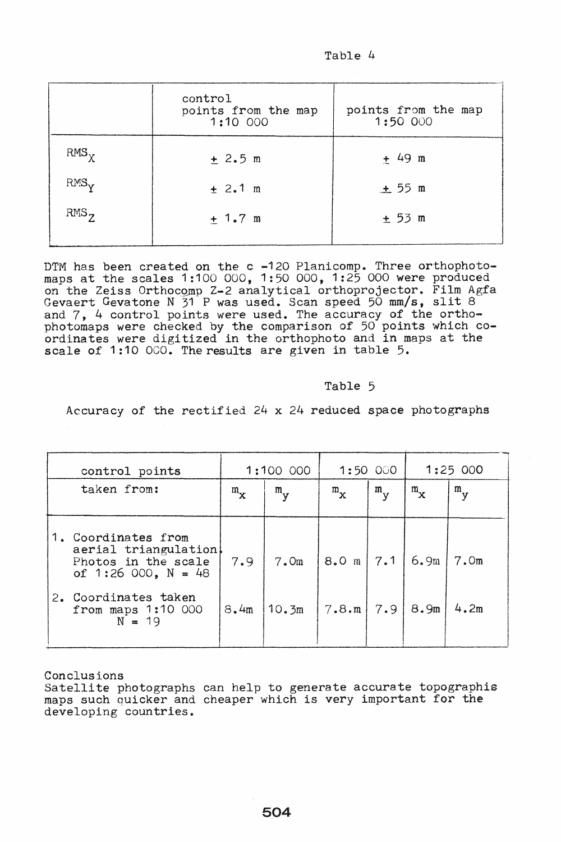| Table |  | $\mu$ |
|-------|--|-------|
|-------|--|-------|

|           | control<br>points from the map<br>1:10 000 | points from the map<br>1:50 000 |  |  |  |
|-----------|--------------------------------------------|---------------------------------|--|--|--|
| $RMS_X$   | ± 2.5 m                                    | $+ 49$ m                        |  |  |  |
| $RMS_V$   | ± 2.1 m                                    | $\pm$ 55 m                      |  |  |  |
| $RMS_{7}$ | $+1.7 \text{ m}$                           | ± 53 m                          |  |  |  |

DTM has been created on the c -120 Planicomp. Three orthophotomaps at the scales 1:100 000, 1:50 000, 1:25 000 were produced on the Zeiss Orthocomp Z-2 analytical orthoprojector. Film Agfa Gevaert Gevatone N 31 P was used. Scan speed 50 mm/s, slit 8 and 7, 4 control points were used. The accuracy of the orthophotomaps were checked by the comparison of 50 points which coordinates were digitized in the orthophoto and in maps at the scale of 1:10 000. The results are given in table 5.

### Table 5

Accuracy of the rectified 24 x 24 reduced space photographs

| control points                                                                               |            | 1:100 000        |                              | 1:50 000           |            | 1:25000          |  |
|----------------------------------------------------------------------------------------------|------------|------------------|------------------------------|--------------------|------------|------------------|--|
| taken from:                                                                                  | $m_{\chi}$ | $m_{\mathbf{v}}$ | $m_{\chi}$                   | $m_{\overline{V}}$ | $m_{\chi}$ | $m_{\mathbf{y}}$ |  |
| 1. Coordinates from<br>aerial triangulation!<br>Photos in the scale<br>of 1:26 000, $N = 48$ | 7.9        | 7.0m             | $8.0 \text{ m}$   7.1   6.9m |                    |            | 7.0 <sub>m</sub> |  |
| Coordinates taken<br>$2\cdot$<br>from maps $1:10$ 000<br>$N = 19$                            | 8.4m       | 10.3m            | $7.8 \cdot m$ 7.9            |                    | 8.9m       | 4.2m             |  |

Conclusions

Satellite photographs can help to generate accurate topographis maps such quicker and cheaper which is very important for the developing countries.